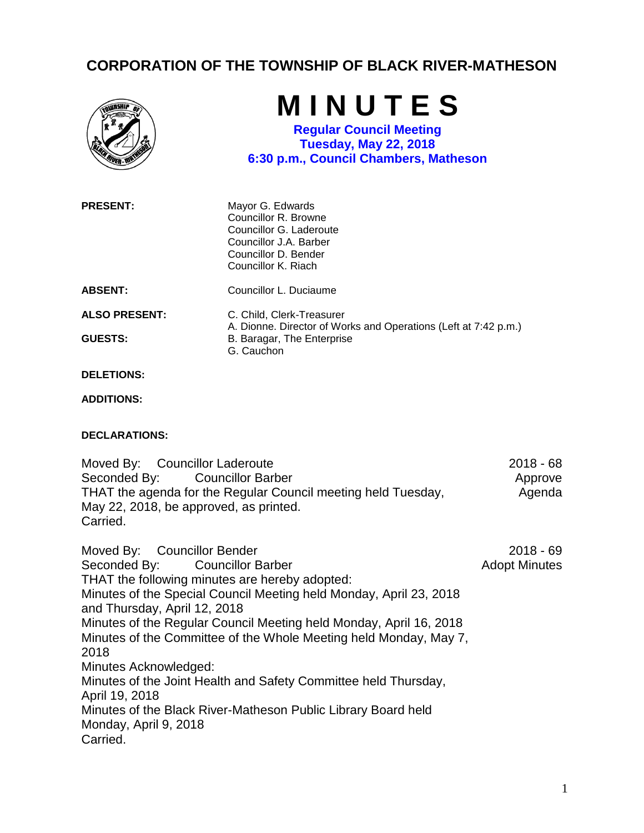## **CORPORATION OF THE TOWNSHIP OF BLACK RIVER-MATHESON**



## **DECLARATIONS:**

Moved By: Councillor Laderoute Seconded By: Councillor Barber THAT the agenda for the Regular Council meeting held Tuesday, May 22, 2018, be approved, as printed. Carried. 2018 - 68 Approve Agenda

Moved By: Councillor Bender Seconded By: Councillor Barber THAT the following minutes are hereby adopted: Minutes of the Special Council Meeting held Monday, April 23, 2018 and Thursday, April 12, 2018 Minutes of the Regular Council Meeting held Monday, April 16, 2018 Minutes of the Committee of the Whole Meeting held Monday, May 7, 2018 Minutes Acknowledged: Minutes of the Joint Health and Safety Committee held Thursday, April 19, 2018 Minutes of the Black River-Matheson Public Library Board held Monday, April 9, 2018 Carried. 2018 - 69 Adopt Minutes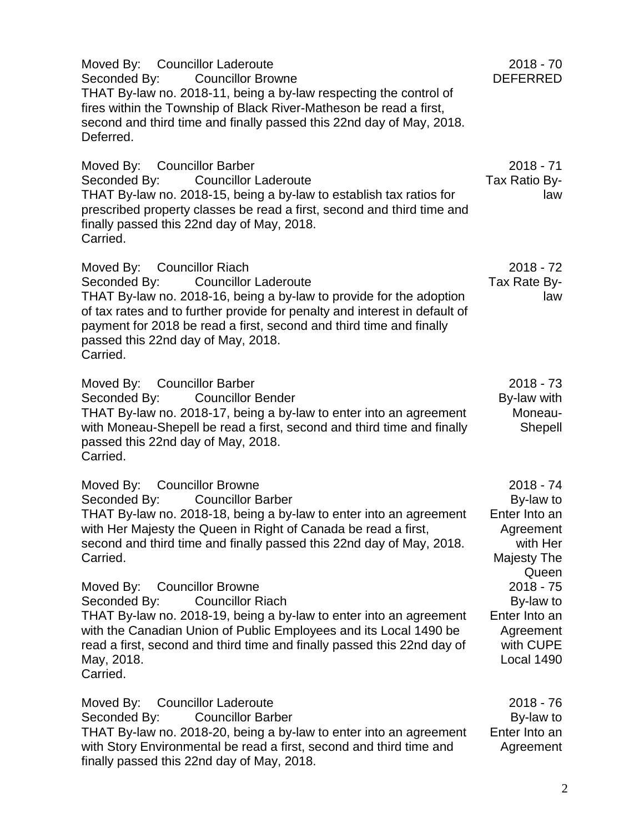Moved By: Councillor Laderoute Seconded By: Councillor Browne THAT By-law no. 2018-11, being a by-law respecting the control of fires within the Township of Black River-Matheson be read a first, second and third time and finally passed this 22nd day of May, 2018. Deferred. 2018 - 70 DEFERRED Moved By: Councillor Barber Seconded By: Councillor Laderoute THAT By-law no. 2018-15, being a by-law to establish tax ratios for prescribed property classes be read a first, second and third time and finally passed this 22nd day of May, 2018. Carried. 2018 - 71 Tax Ratio Bylaw Moved By: Councillor Riach Seconded By: Councillor Laderoute THAT By-law no. 2018-16, being a by-law to provide for the adoption of tax rates and to further provide for penalty and interest in default of payment for 2018 be read a first, second and third time and finally passed this 22nd day of May, 2018. Carried. 2018 - 72 Tax Rate Bylaw Moved By: Councillor Barber Seconded By: Councillor Bender THAT By-law no. 2018-17, being a by-law to enter into an agreement with Moneau-Shepell be read a first, second and third time and finally passed this 22nd day of May, 2018. Carried. 2018 - 73 By-law with Moneau-Shepell Moved By: Councillor Browne Seconded By: Councillor Barber THAT By-law no. 2018-18, being a by-law to enter into an agreement with Her Majesty the Queen in Right of Canada be read a first, second and third time and finally passed this 22nd day of May, 2018. Carried. 2018 - 74 By-law to Enter Into an **Agreement** with Her Majesty The **Queen** Moved By: Councillor Browne Seconded By: Councillor Riach THAT By-law no. 2018-19, being a by-law to enter into an agreement with the Canadian Union of Public Employees and its Local 1490 be read a first, second and third time and finally passed this 22nd day of May, 2018. Carried. 2018 - 75 By-law to Enter Into an Agreement with CUPE Local 1490

Moved By: Councillor Laderoute Seconded By: Councillor Barber THAT By-law no. 2018-20, being a by-law to enter into an agreement with Story Environmental be read a first, second and third time and finally passed this 22nd day of May, 2018. 2018 - 76 By-law to Enter Into an Agreement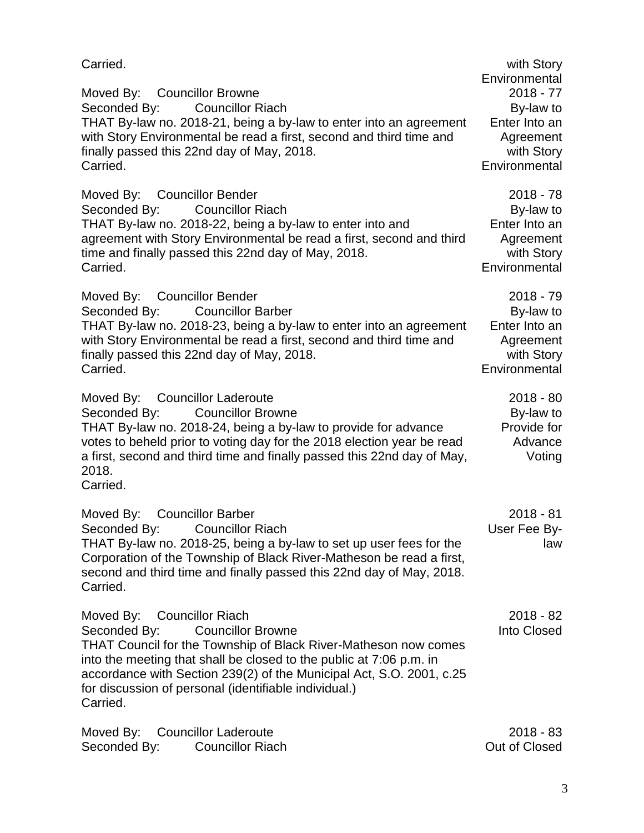| Carried.                                                                                                                                                                                                                                                                                                                                                             | with Story<br>Environmental                                                           |
|----------------------------------------------------------------------------------------------------------------------------------------------------------------------------------------------------------------------------------------------------------------------------------------------------------------------------------------------------------------------|---------------------------------------------------------------------------------------|
| Moved By: Councillor Browne<br><b>Councillor Riach</b><br>Seconded By:<br>THAT By-law no. 2018-21, being a by-law to enter into an agreement<br>with Story Environmental be read a first, second and third time and<br>finally passed this 22nd day of May, 2018.<br>Carried.                                                                                        | $2018 - 77$<br>By-law to<br>Enter Into an<br>Agreement<br>with Story<br>Environmental |
| Moved By: Councillor Bender<br><b>Councillor Riach</b><br>Seconded By:<br>THAT By-law no. 2018-22, being a by-law to enter into and<br>agreement with Story Environmental be read a first, second and third<br>time and finally passed this 22nd day of May, 2018.<br>Carried.                                                                                       | $2018 - 78$<br>By-law to<br>Enter Into an<br>Agreement<br>with Story<br>Environmental |
| Moved By: Councillor Bender<br>Seconded By:<br><b>Councillor Barber</b><br>THAT By-law no. 2018-23, being a by-law to enter into an agreement<br>with Story Environmental be read a first, second and third time and<br>finally passed this 22nd day of May, 2018.<br>Carried.                                                                                       | $2018 - 79$<br>By-law to<br>Enter Into an<br>Agreement<br>with Story<br>Environmental |
| Moved By: Councillor Laderoute<br><b>Councillor Browne</b><br>Seconded By:<br>THAT By-law no. 2018-24, being a by-law to provide for advance<br>votes to beheld prior to voting day for the 2018 election year be read<br>a first, second and third time and finally passed this 22nd day of May,<br>2018.<br>Carried.                                               | $2018 - 80$<br>By-law to<br>Provide for<br>Advance<br>Voting                          |
| <b>Councillor Barber</b><br>Moved By:<br><b>Councillor Riach</b><br>Seconded By:<br>THAT By-law no. 2018-25, being a by-law to set up user fees for the<br>Corporation of the Township of Black River-Matheson be read a first,<br>second and third time and finally passed this 22nd day of May, 2018.<br>Carried.                                                  | $2018 - 81$<br>User Fee By-<br>law                                                    |
| Moved By: Councillor Riach<br>Seconded By:<br><b>Councillor Browne</b><br><b>THAT Council for the Township of Black River-Matheson now comes</b><br>into the meeting that shall be closed to the public at 7:06 p.m. in<br>accordance with Section 239(2) of the Municipal Act, S.O. 2001, c.25<br>for discussion of personal (identifiable individual.)<br>Carried. | $2018 - 82$<br>Into Closed                                                            |
| Moved By: Councillor Laderoute                                                                                                                                                                                                                                                                                                                                       | $2018 - 83$                                                                           |

Seconded By: Councillor Riach Out of Closed